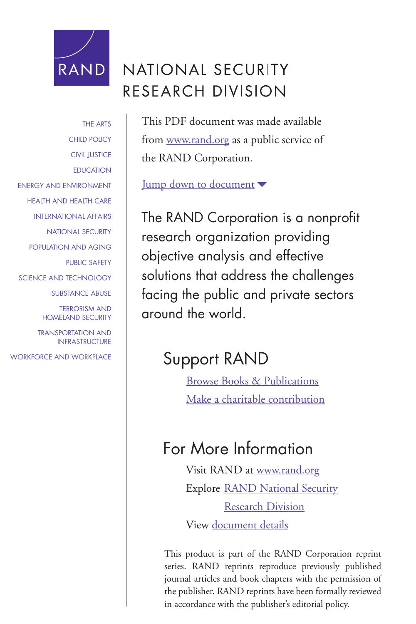

# NATIONAL SECURITY RESEARCH DIVISION

[THE ARTS](http://www.rand.org/pdfrd/research_areas/arts/) [CHILD POLICY](http://www.rand.org/pdfrd/research_areas/children/) [CIVIL JUSTICE](http://www.rand.org/pdfrd/research_areas/civil_justice/) [EDUCATION](http://www.rand.org/pdfrd/research_areas/education/) [ENERGY AND ENVIRONMENT](http://www.rand.org/pdfrd/research_areas/energy_environment/) [HEALTH AND HEALTH CARE](http://www.rand.org/pdfrd/research_areas/health/) [INTERNATIONAL AFFAIRS](http://www.rand.org/pdfrd/research_areas/international_affairs/) [NATIONAL SECURITY](http://www.rand.org/pdfrd/research_areas/national_security/) [POPULATION AND AGING](http://www.rand.org/pdfrd/research_areas/population/) [PUBLIC SAFETY](http://www.rand.org/pdfrd/research_areas/public_safety/) [SCIENCE AND TECHNOLOGY](http://www.rand.org/pdfrd/research_areas/science_technology/) [SUBSTANCE ABUSE](http://www.rand.org/pdfrd/research_areas/substance_abuse/) [TERRORISM AND](http://www.rand.org/pdfrd/research_areas/terrorism/)  [HOMELAND SECURITY](http://www.rand.org/pdfrd/research_areas/terrorism/) [TRANSPORTATION AND](http://www.rand.org/pdfrd/research_areas/infrastructure/)

[INFRASTRUCTURE](http://www.rand.org/pdfrd/research_areas/infrastructure/)

[WORKFORCE AND WORKPLACE](http://www.rand.org/pdfrd/research_areas/workforce/)

This PDF document was made available from [www.rand.org](http://www.rand.org/pdfrd/) as a public service of the RAND Corporation.

[Jump down to document](#page-1-0)  $\blacktriangledown$ 

The RAND Corporation is a nonprofit research organization providing objective analysis and effective solutions that address the challenges facing the public and private sectors around the world.

## Support RAND

[Browse Books & Publications](http://www.rand.org/pdfrd/publications/electronic/) [Make a charitable contribution](http://www.rand.org/pdfrd/giving/contribute.html)

### For More Information

Visit RAND at [www.rand.org](http://www.rand.org/pdfrd/) Explore [RAND National Security](http://www.rand.org/pdfrd/nsrd/) Research Division View [document details](http://www.rand.org/pdfrd/pubs/reprints/RP1215/)

This product is part of the RAND Corporation reprint series. RAND reprints reproduce previously published journal articles and book chapters with the permission of the publisher. RAND reprints have been formally reviewed in accordance with the publisher's editorial policy.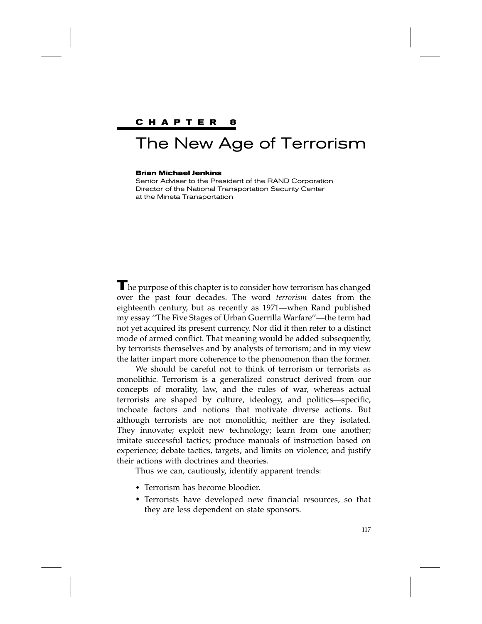### <span id="page-1-0"></span>The New Age of Terrorism

#### Brian Michael Jenkins

Senior Adviser to the President of the RAND Corporation Director of the National Transportation Security Center at the Mineta Transportation

The purpose of this chapter is to consider how terrorism has changed over the past four decades. The word terrorism dates from the eighteenth century, but as recently as 1971—when Rand published my essay ''The Five Stages of Urban Guerrilla Warfare''—the term had not yet acquired its present currency. Nor did it then refer to a distinct mode of armed conflict. That meaning would be added subsequently, by terrorists themselves and by analysts of terrorism; and in my view the latter impart more coherence to the phenomenon than the former.

We should be careful not to think of terrorism or terrorists as monolithic. Terrorism is a generalized construct derived from our concepts of morality, law, and the rules of war, whereas actual terrorists are shaped by culture, ideology, and politics—specific, inchoate factors and notions that motivate diverse actions. But although terrorists are not monolithic, neither are they isolated. They innovate; exploit new technology; learn from one another; imitate successful tactics; produce manuals of instruction based on experience; debate tactics, targets, and limits on violence; and justify their actions with doctrines and theories.

Thus we can, cautiously, identify apparent trends:

- Terrorism has become bloodier.
- ^ Terrorists have developed new financial resources, so that they are less dependent on state sponsors.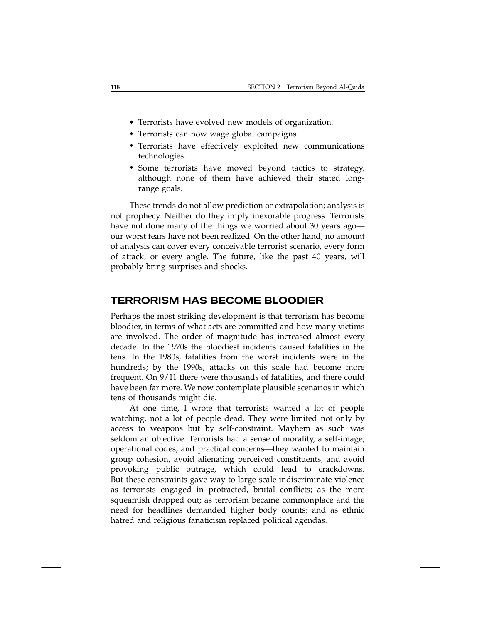- ^ Terrorists have evolved new models of organization.
- ^ Terrorists can now wage global campaigns.
- ^ Terrorists have effectively exploited new communications technologies.
- ^ Some terrorists have moved beyond tactics to strategy, although none of them have achieved their stated longrange goals.

These trends do not allow prediction or extrapolation; analysis is not prophecy. Neither do they imply inexorable progress. Terrorists have not done many of the things we worried about 30 years ago our worst fears have not been realized. On the other hand, no amount of analysis can cover every conceivable terrorist scenario, every form of attack, or every angle. The future, like the past 40 years, will probably bring surprises and shocks.

#### TERRORISM HAS BECOME BLOODIER

Perhaps the most striking development is that terrorism has become bloodier, in terms of what acts are committed and how many victims are involved. The order of magnitude has increased almost every decade. In the 1970s the bloodiest incidents caused fatalities in the tens. In the 1980s, fatalities from the worst incidents were in the hundreds; by the 1990s, attacks on this scale had become more frequent. On 9/11 there were thousands of fatalities, and there could have been far more. We now contemplate plausible scenarios in which tens of thousands might die.

At one time, I wrote that terrorists wanted a lot of people watching, not a lot of people dead. They were limited not only by access to weapons but by self-constraint. Mayhem as such was seldom an objective. Terrorists had a sense of morality, a self-image, operational codes, and practical concerns—they wanted to maintain group cohesion, avoid alienating perceived constituents, and avoid provoking public outrage, which could lead to crackdowns. But these constraints gave way to large-scale indiscriminate violence as terrorists engaged in protracted, brutal conflicts; as the more squeamish dropped out; as terrorism became commonplace and the need for headlines demanded higher body counts; and as ethnic hatred and religious fanaticism replaced political agendas.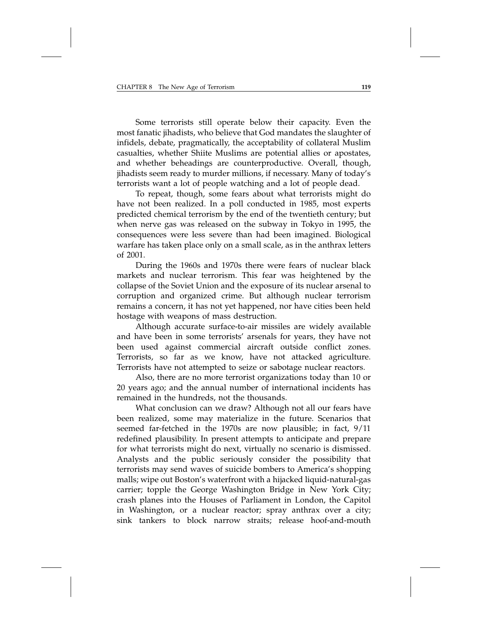Some terrorists still operate below their capacity. Even the most fanatic jihadists, who believe that God mandates the slaughter of infidels, debate, pragmatically, the acceptability of collateral Muslim casualties, whether Shiite Muslims are potential allies or apostates, and whether beheadings are counterproductive. Overall, though, jihadists seem ready to murder millions, if necessary. Many of today's terrorists want a lot of people watching and a lot of people dead.

To repeat, though, some fears about what terrorists might do have not been realized. In a poll conducted in 1985, most experts predicted chemical terrorism by the end of the twentieth century; but when nerve gas was released on the subway in Tokyo in 1995, the consequences were less severe than had been imagined. Biological warfare has taken place only on a small scale, as in the anthrax letters of 2001.

During the 1960s and 1970s there were fears of nuclear black markets and nuclear terrorism. This fear was heightened by the collapse of the Soviet Union and the exposure of its nuclear arsenal to corruption and organized crime. But although nuclear terrorism remains a concern, it has not yet happened, nor have cities been held hostage with weapons of mass destruction.

Although accurate surface-to-air missiles are widely available and have been in some terrorists' arsenals for years, they have not been used against commercial aircraft outside conflict zones. Terrorists, so far as we know, have not attacked agriculture. Terrorists have not attempted to seize or sabotage nuclear reactors.

Also, there are no more terrorist organizations today than 10 or 20 years ago; and the annual number of international incidents has remained in the hundreds, not the thousands.

What conclusion can we draw? Although not all our fears have been realized, some may materialize in the future. Scenarios that seemed far-fetched in the 1970s are now plausible; in fact, 9/11 redefined plausibility. In present attempts to anticipate and prepare for what terrorists might do next, virtually no scenario is dismissed. Analysts and the public seriously consider the possibility that terrorists may send waves of suicide bombers to America's shopping malls; wipe out Boston's waterfront with a hijacked liquid-natural-gas carrier; topple the George Washington Bridge in New York City; crash planes into the Houses of Parliament in London, the Capitol in Washington, or a nuclear reactor; spray anthrax over a city; sink tankers to block narrow straits; release hoof-and-mouth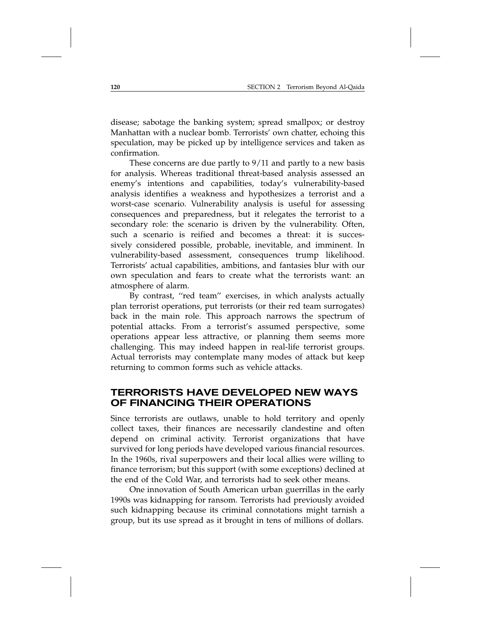disease; sabotage the banking system; spread smallpox; or destroy Manhattan with a nuclear bomb. Terrorists' own chatter, echoing this speculation, may be picked up by intelligence services and taken as confirmation.

These concerns are due partly to 9/11 and partly to a new basis for analysis. Whereas traditional threat-based analysis assessed an enemy's intentions and capabilities, today's vulnerability-based analysis identifies a weakness and hypothesizes a terrorist and a worst-case scenario. Vulnerability analysis is useful for assessing consequences and preparedness, but it relegates the terrorist to a secondary role: the scenario is driven by the vulnerability. Often, such a scenario is reified and becomes a threat: it is successively considered possible, probable, inevitable, and imminent. In vulnerability-based assessment, consequences trump likelihood. Terrorists' actual capabilities, ambitions, and fantasies blur with our own speculation and fears to create what the terrorists want: an atmosphere of alarm.

By contrast, ''red team'' exercises, in which analysts actually plan terrorist operations, put terrorists (or their red team surrogates) back in the main role. This approach narrows the spectrum of potential attacks. From a terrorist's assumed perspective, some operations appear less attractive, or planning them seems more challenging. This may indeed happen in real-life terrorist groups. Actual terrorists may contemplate many modes of attack but keep returning to common forms such as vehicle attacks.

#### TERRORISTS HAVE DEVELOPED NEW WAYS OF FINANCING THEIR OPERATIONS

Since terrorists are outlaws, unable to hold territory and openly collect taxes, their finances are necessarily clandestine and often depend on criminal activity. Terrorist organizations that have survived for long periods have developed various financial resources. In the 1960s, rival superpowers and their local allies were willing to finance terrorism; but this support (with some exceptions) declined at the end of the Cold War, and terrorists had to seek other means.

One innovation of South American urban guerrillas in the early 1990s was kidnapping for ransom. Terrorists had previously avoided such kidnapping because its criminal connotations might tarnish a group, but its use spread as it brought in tens of millions of dollars.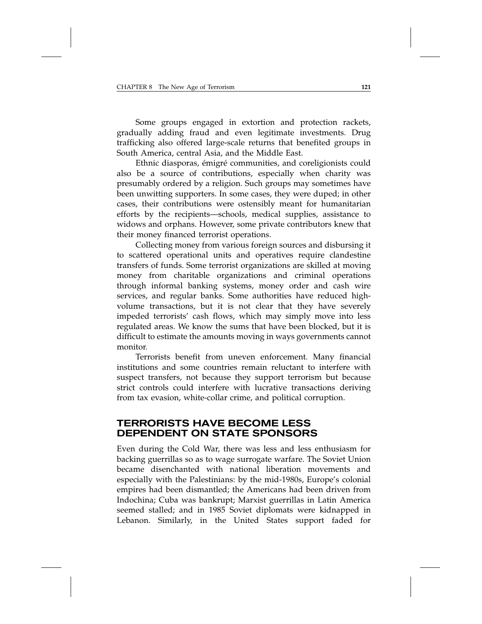Some groups engaged in extortion and protection rackets, gradually adding fraud and even legitimate investments. Drug trafficking also offered large-scale returns that benefited groups in South America, central Asia, and the Middle East.

Ethnic diasporas, émigré communities, and coreligionists could also be a source of contributions, especially when charity was presumably ordered by a religion. Such groups may sometimes have been unwitting supporters. In some cases, they were duped; in other cases, their contributions were ostensibly meant for humanitarian efforts by the recipients—schools, medical supplies, assistance to widows and orphans. However, some private contributors knew that their money financed terrorist operations.

Collecting money from various foreign sources and disbursing it to scattered operational units and operatives require clandestine transfers of funds. Some terrorist organizations are skilled at moving money from charitable organizations and criminal operations through informal banking systems, money order and cash wire services, and regular banks. Some authorities have reduced highvolume transactions, but it is not clear that they have severely impeded terrorists' cash flows, which may simply move into less regulated areas. We know the sums that have been blocked, but it is difficult to estimate the amounts moving in ways governments cannot monitor.

Terrorists benefit from uneven enforcement. Many financial institutions and some countries remain reluctant to interfere with suspect transfers, not because they support terrorism but because strict controls could interfere with lucrative transactions deriving from tax evasion, white-collar crime, and political corruption.

#### TERRORISTS HAVE BECOME LESS DEPENDENT ON STATE SPONSORS

Even during the Cold War, there was less and less enthusiasm for backing guerrillas so as to wage surrogate warfare. The Soviet Union became disenchanted with national liberation movements and especially with the Palestinians: by the mid-1980s, Europe's colonial empires had been dismantled; the Americans had been driven from Indochina; Cuba was bankrupt; Marxist guerrillas in Latin America seemed stalled; and in 1985 Soviet diplomats were kidnapped in Lebanon. Similarly, in the United States support faded for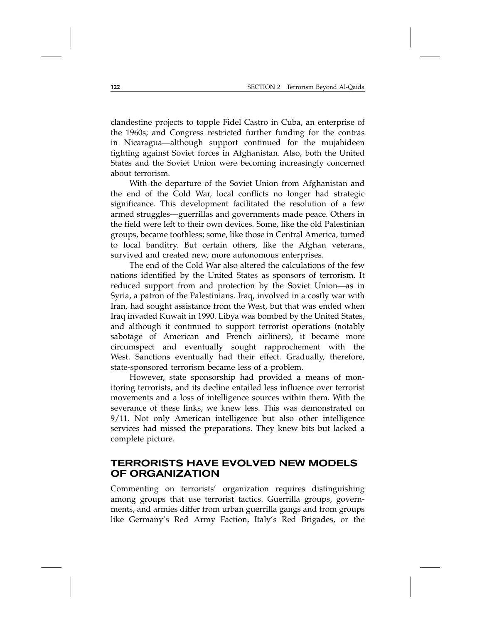clandestine projects to topple Fidel Castro in Cuba, an enterprise of the 1960s; and Congress restricted further funding for the contras in Nicaragua—although support continued for the mujahideen fighting against Soviet forces in Afghanistan. Also, both the United States and the Soviet Union were becoming increasingly concerned about terrorism.

With the departure of the Soviet Union from Afghanistan and the end of the Cold War, local conflicts no longer had strategic significance. This development facilitated the resolution of a few armed struggles—guerrillas and governments made peace. Others in the field were left to their own devices. Some, like the old Palestinian groups, became toothless; some, like those in Central America, turned to local banditry. But certain others, like the Afghan veterans, survived and created new, more autonomous enterprises.

The end of the Cold War also altered the calculations of the few nations identified by the United States as sponsors of terrorism. It reduced support from and protection by the Soviet Union—as in Syria, a patron of the Palestinians. Iraq, involved in a costly war with Iran, had sought assistance from the West, but that was ended when Iraq invaded Kuwait in 1990. Libya was bombed by the United States, and although it continued to support terrorist operations (notably sabotage of American and French airliners), it became more circumspect and eventually sought rapprochement with the West. Sanctions eventually had their effect. Gradually, therefore, state-sponsored terrorism became less of a problem.

However, state sponsorship had provided a means of monitoring terrorists, and its decline entailed less influence over terrorist movements and a loss of intelligence sources within them. With the severance of these links, we knew less. This was demonstrated on 9/11. Not only American intelligence but also other intelligence services had missed the preparations. They knew bits but lacked a complete picture.

#### TERRORISTS HAVE EVOLVED NEW MODELS OF ORGANIZATION

Commenting on terrorists' organization requires distinguishing among groups that use terrorist tactics. Guerrilla groups, governments, and armies differ from urban guerrilla gangs and from groups like Germany's Red Army Faction, Italy's Red Brigades, or the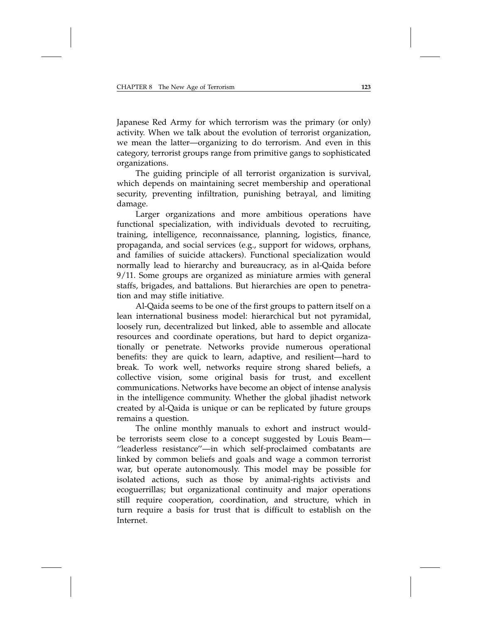Japanese Red Army for which terrorism was the primary (or only) activity. When we talk about the evolution of terrorist organization, we mean the latter—organizing to do terrorism. And even in this category, terrorist groups range from primitive gangs to sophisticated organizations.

The guiding principle of all terrorist organization is survival, which depends on maintaining secret membership and operational security, preventing infiltration, punishing betrayal, and limiting damage.

Larger organizations and more ambitious operations have functional specialization, with individuals devoted to recruiting, training, intelligence, reconnaissance, planning, logistics, finance, propaganda, and social services (e.g., support for widows, orphans, and families of suicide attackers). Functional specialization would normally lead to hierarchy and bureaucracy, as in al-Qaida before 9/11. Some groups are organized as miniature armies with general staffs, brigades, and battalions. But hierarchies are open to penetration and may stifle initiative.

Al-Qaida seems to be one of the first groups to pattern itself on a lean international business model: hierarchical but not pyramidal, loosely run, decentralized but linked, able to assemble and allocate resources and coordinate operations, but hard to depict organizationally or penetrate. Networks provide numerous operational benefits: they are quick to learn, adaptive, and resilient—hard to break. To work well, networks require strong shared beliefs, a collective vision, some original basis for trust, and excellent communications. Networks have become an object of intense analysis in the intelligence community. Whether the global jihadist network created by al-Qaida is unique or can be replicated by future groups remains a question.

The online monthly manuals to exhort and instruct wouldbe terrorists seem close to a concept suggested by Louis Beam— ''leaderless resistance''—in which self-proclaimed combatants are linked by common beliefs and goals and wage a common terrorist war, but operate autonomously. This model may be possible for isolated actions, such as those by animal-rights activists and ecoguerrillas; but organizational continuity and major operations still require cooperation, coordination, and structure, which in turn require a basis for trust that is difficult to establish on the Internet.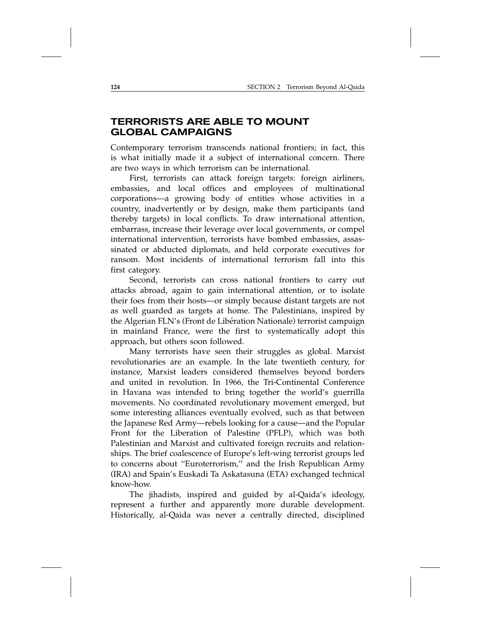#### TERRORISTS ARE ABLE TO MOUNT GLOBAL CAMPAIGNS

Contemporary terrorism transcends national frontiers; in fact, this is what initially made it a subject of international concern. There are two ways in which terrorism can be international.

First, terrorists can attack foreign targets: foreign airliners, embassies, and local offices and employees of multinational corporations—a growing body of entities whose activities in a country, inadvertently or by design, make them participants (and thereby targets) in local conflicts. To draw international attention, embarrass, increase their leverage over local governments, or compel international intervention, terrorists have bombed embassies, assassinated or abducted diplomats, and held corporate executives for ransom. Most incidents of international terrorism fall into this first category.

Second, terrorists can cross national frontiers to carry out attacks abroad, again to gain international attention, or to isolate their foes from their hosts—or simply because distant targets are not as well guarded as targets at home. The Palestinians, inspired by the Algerian FLN's (Front de Libération Nationale) terrorist campaign in mainland France, were the first to systematically adopt this approach, but others soon followed.

Many terrorists have seen their struggles as global. Marxist revolutionaries are an example. In the late twentieth century, for instance, Marxist leaders considered themselves beyond borders and united in revolution. In 1966, the Tri-Continental Conference in Havana was intended to bring together the world's guerrilla movements. No coordinated revolutionary movement emerged, but some interesting alliances eventually evolved, such as that between the Japanese Red Army—rebels looking for a cause—and the Popular Front for the Liberation of Palestine (PFLP), which was both Palestinian and Marxist and cultivated foreign recruits and relationships. The brief coalescence of Europe's left-wing terrorist groups led to concerns about ''Euroterrorism,'' and the Irish Republican Army (IRA) and Spain's Euskadi Ta Askatasuna (ETA) exchanged technical know-how.

The jihadists, inspired and guided by al-Qaida's ideology, represent a further and apparently more durable development. Historically, al-Qaida was never a centrally directed, disciplined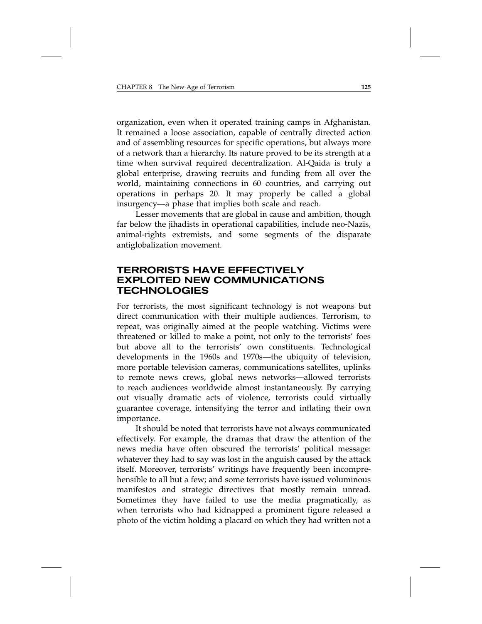organization, even when it operated training camps in Afghanistan. It remained a loose association, capable of centrally directed action and of assembling resources for specific operations, but always more of a network than a hierarchy. Its nature proved to be its strength at a time when survival required decentralization. Al-Qaida is truly a global enterprise, drawing recruits and funding from all over the world, maintaining connections in 60 countries, and carrying out operations in perhaps 20. It may properly be called a global insurgency—a phase that implies both scale and reach.

Lesser movements that are global in cause and ambition, though far below the jihadists in operational capabilities, include neo-Nazis, animal-rights extremists, and some segments of the disparate antiglobalization movement.

#### TERRORISTS HAVE EFFECTIVELY EXPLOITED NEW COMMUNICATIONS **TECHNOLOGIES**

For terrorists, the most significant technology is not weapons but direct communication with their multiple audiences. Terrorism, to repeat, was originally aimed at the people watching. Victims were threatened or killed to make a point, not only to the terrorists' foes but above all to the terrorists' own constituents. Technological developments in the 1960s and 1970s—the ubiquity of television, more portable television cameras, communications satellites, uplinks to remote news crews, global news networks—allowed terrorists to reach audiences worldwide almost instantaneously. By carrying out visually dramatic acts of violence, terrorists could virtually guarantee coverage, intensifying the terror and inflating their own importance.

It should be noted that terrorists have not always communicated effectively. For example, the dramas that draw the attention of the news media have often obscured the terrorists' political message: whatever they had to say was lost in the anguish caused by the attack itself. Moreover, terrorists' writings have frequently been incomprehensible to all but a few; and some terrorists have issued voluminous manifestos and strategic directives that mostly remain unread. Sometimes they have failed to use the media pragmatically, as when terrorists who had kidnapped a prominent figure released a photo of the victim holding a placard on which they had written not a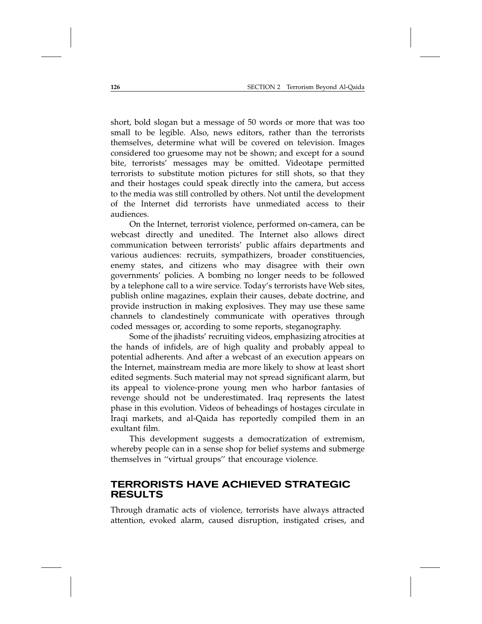short, bold slogan but a message of 50 words or more that was too small to be legible. Also, news editors, rather than the terrorists themselves, determine what will be covered on television. Images considered too gruesome may not be shown; and except for a sound bite, terrorists' messages may be omitted. Videotape permitted terrorists to substitute motion pictures for still shots, so that they and their hostages could speak directly into the camera, but access to the media was still controlled by others. Not until the development of the Internet did terrorists have unmediated access to their audiences.

On the Internet, terrorist violence, performed on-camera, can be webcast directly and unedited. The Internet also allows direct communication between terrorists' public affairs departments and various audiences: recruits, sympathizers, broader constituencies, enemy states, and citizens who may disagree with their own governments' policies. A bombing no longer needs to be followed by a telephone call to a wire service. Today's terrorists have Web sites, publish online magazines, explain their causes, debate doctrine, and provide instruction in making explosives. They may use these same channels to clandestinely communicate with operatives through coded messages or, according to some reports, steganography.

Some of the jihadists' recruiting videos, emphasizing atrocities at the hands of infidels, are of high quality and probably appeal to potential adherents. And after a webcast of an execution appears on the Internet, mainstream media are more likely to show at least short edited segments. Such material may not spread significant alarm, but its appeal to violence-prone young men who harbor fantasies of revenge should not be underestimated. Iraq represents the latest phase in this evolution. Videos of beheadings of hostages circulate in Iraqi markets, and al-Qaida has reportedly compiled them in an exultant film.

This development suggests a democratization of extremism, whereby people can in a sense shop for belief systems and submerge themselves in ''virtual groups'' that encourage violence.

#### TERRORISTS HAVE ACHIEVED STRATEGIC RESULTS

Through dramatic acts of violence, terrorists have always attracted attention, evoked alarm, caused disruption, instigated crises, and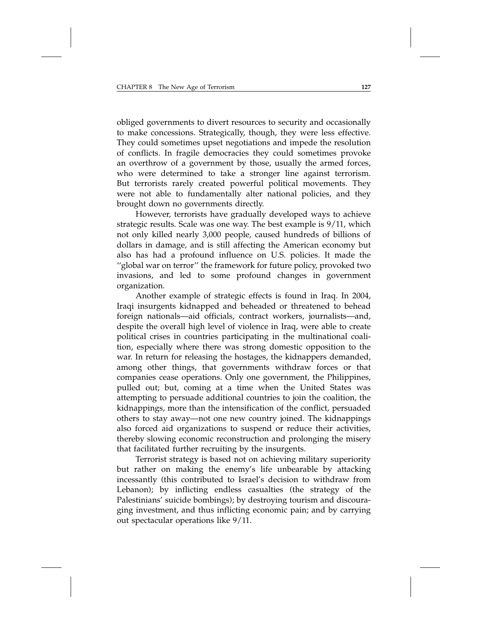obliged governments to divert resources to security and occasionally to make concessions. Strategically, though, they were less effective. They could sometimes upset negotiations and impede the resolution of conflicts. In fragile democracies they could sometimes provoke an overthrow of a government by those, usually the armed forces, who were determined to take a stronger line against terrorism. But terrorists rarely created powerful political movements. They were not able to fundamentally alter national policies, and they brought down no governments directly.

However, terrorists have gradually developed ways to achieve strategic results. Scale was one way. The best example is 9/11, which not only killed nearly 3,000 people, caused hundreds of billions of dollars in damage, and is still affecting the American economy but also has had a profound influence on U.S. policies. It made the "global war on terror" the framework for future policy, provoked two invasions, and led to some profound changes in government organization.

Another example of strategic effects is found in Iraq. In 2004, Iraqi insurgents kidnapped and beheaded or threatened to behead foreign nationals—aid officials, contract workers, journalists—and, despite the overall high level of violence in Iraq, were able to create political crises in countries participating in the multinational coalition, especially where there was strong domestic opposition to the war. In return for releasing the hostages, the kidnappers demanded, among other things, that governments withdraw forces or that companies cease operations. Only one government, the Philippines, pulled out; but, coming at a time when the United States was attempting to persuade additional countries to join the coalition, the kidnappings, more than the intensification of the conflict, persuaded others to stay away—not one new country joined. The kidnappings also forced aid organizations to suspend or reduce their activities, thereby slowing economic reconstruction and prolonging the misery that facilitated further recruiting by the insurgents.

Terrorist strategy is based not on achieving military superiority but rather on making the enemy's life unbearable by attacking incessantly (this contributed to Israel's decision to withdraw from Lebanon); by inflicting endless casualties (the strategy of the Palestinians' suicide bombings); by destroying tourism and discouraging investment, and thus inflicting economic pain; and by carrying out spectacular operations like 9/11.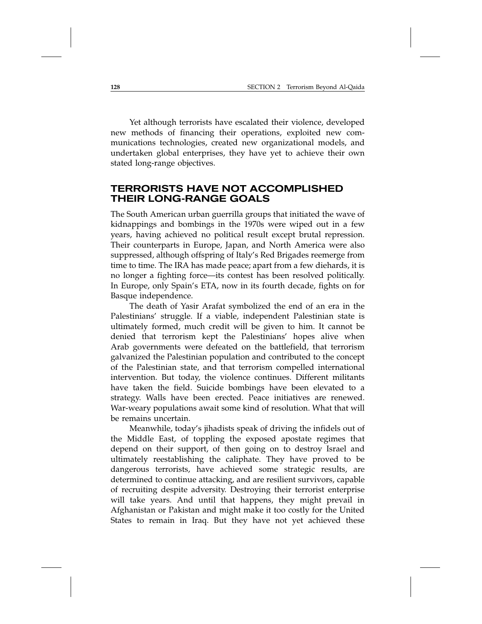Yet although terrorists have escalated their violence, developed new methods of financing their operations, exploited new communications technologies, created new organizational models, and undertaken global enterprises, they have yet to achieve their own stated long-range objectives.

### TERRORISTS HAVE NOT ACCOMPLISHED THEIR LONG-RANGE GOALS

The South American urban guerrilla groups that initiated the wave of kidnappings and bombings in the 1970s were wiped out in a few years, having achieved no political result except brutal repression. Their counterparts in Europe, Japan, and North America were also suppressed, although offspring of Italy's Red Brigades reemerge from time to time. The IRA has made peace; apart from a few diehards, it is no longer a fighting force—its contest has been resolved politically. In Europe, only Spain's ETA, now in its fourth decade, fights on for Basque independence.

The death of Yasir Arafat symbolized the end of an era in the Palestinians' struggle. If a viable, independent Palestinian state is ultimately formed, much credit will be given to him. It cannot be denied that terrorism kept the Palestinians' hopes alive when Arab governments were defeated on the battlefield, that terrorism galvanized the Palestinian population and contributed to the concept of the Palestinian state, and that terrorism compelled international intervention. But today, the violence continues. Different militants have taken the field. Suicide bombings have been elevated to a strategy. Walls have been erected. Peace initiatives are renewed. War-weary populations await some kind of resolution. What that will be remains uncertain.

Meanwhile, today's jihadists speak of driving the infidels out of the Middle East, of toppling the exposed apostate regimes that depend on their support, of then going on to destroy Israel and ultimately reestablishing the caliphate. They have proved to be dangerous terrorists, have achieved some strategic results, are determined to continue attacking, and are resilient survivors, capable of recruiting despite adversity. Destroying their terrorist enterprise will take years. And until that happens, they might prevail in Afghanistan or Pakistan and might make it too costly for the United States to remain in Iraq. But they have not yet achieved these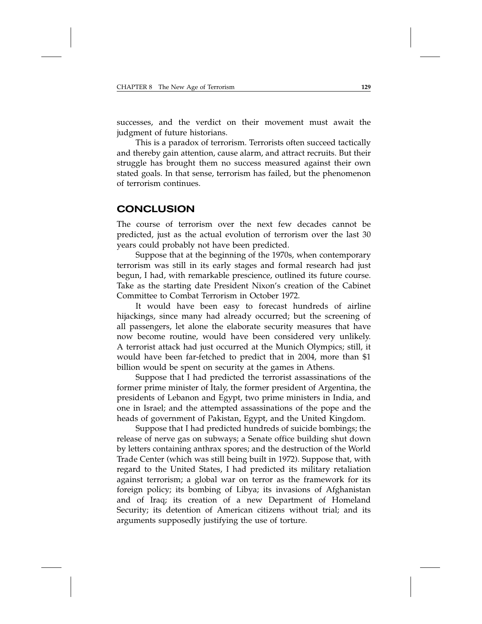successes, and the verdict on their movement must await the judgment of future historians.

This is a paradox of terrorism. Terrorists often succeed tactically and thereby gain attention, cause alarm, and attract recruits. But their struggle has brought them no success measured against their own stated goals. In that sense, terrorism has failed, but the phenomenon of terrorism continues.

### **CONCLUSION**

The course of terrorism over the next few decades cannot be predicted, just as the actual evolution of terrorism over the last 30 years could probably not have been predicted.

Suppose that at the beginning of the 1970s, when contemporary terrorism was still in its early stages and formal research had just begun, I had, with remarkable prescience, outlined its future course. Take as the starting date President Nixon's creation of the Cabinet Committee to Combat Terrorism in October 1972.

It would have been easy to forecast hundreds of airline hijackings, since many had already occurred; but the screening of all passengers, let alone the elaborate security measures that have now become routine, would have been considered very unlikely. A terrorist attack had just occurred at the Munich Olympics; still, it would have been far-fetched to predict that in 2004, more than \$1 billion would be spent on security at the games in Athens.

Suppose that I had predicted the terrorist assassinations of the former prime minister of Italy, the former president of Argentina, the presidents of Lebanon and Egypt, two prime ministers in India, and one in Israel; and the attempted assassinations of the pope and the heads of government of Pakistan, Egypt, and the United Kingdom.

Suppose that I had predicted hundreds of suicide bombings; the release of nerve gas on subways; a Senate office building shut down by letters containing anthrax spores; and the destruction of the World Trade Center (which was still being built in 1972). Suppose that, with regard to the United States, I had predicted its military retaliation against terrorism; a global war on terror as the framework for its foreign policy; its bombing of Libya; its invasions of Afghanistan and of Iraq; its creation of a new Department of Homeland Security; its detention of American citizens without trial; and its arguments supposedly justifying the use of torture.